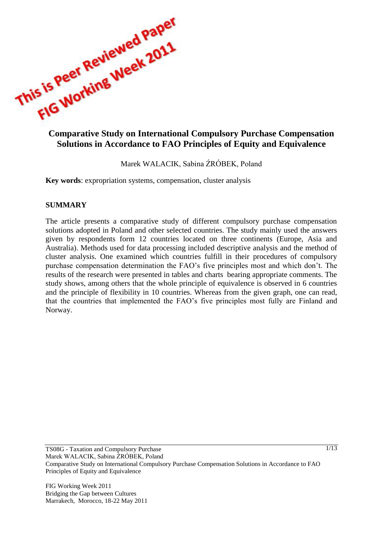

# **Solutions in Accordance to FAO Principles of Equity and Equivalence**

Marek WALACIK, Sabina ŹRÓBEK, Poland

**Key words**: expropriation systems, compensation, cluster analysis

#### **SUMMARY**

The article presents a comparative study of different compulsory purchase compensation solutions adopted in Poland and other selected countries. The study mainly used the answers given by respondents form 12 countries located on three continents (Europe, Asia and Australia). Methods used for data processing included descriptive analysis and the method of cluster analysis. One examined which countries fulfill in their procedures of compulsory purchase compensation determination the FAO's five principles most and which don't. The results of the research were presented in tables and charts bearing appropriate comments. The study shows, among others that the whole principle of equivalence is observed in 6 countries and the principle of flexibility in 10 countries. Whereas from the given graph, one can read, that the countries that implemented the FAO's five principles most fully are Finland and Norway.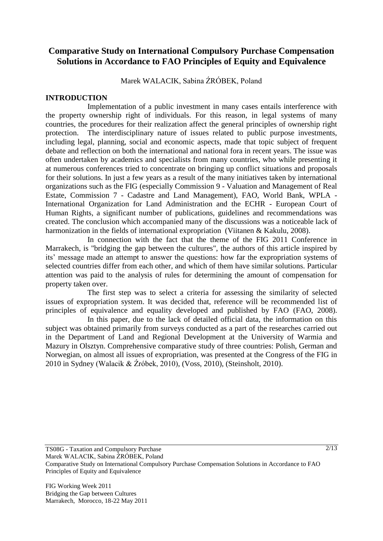## **Comparative Study on International Compulsory Purchase Compensation Solutions in Accordance to FAO Principles of Equity and Equivalence**

Marek WALACIK, Sabina ŹRÓBEK, Poland

#### **INTRODUCTION**

Implementation of a public investment in many cases entails interference with the property ownership right of individuals. For this reason, in legal systems of many countries, the procedures for their realization affect the general principles of ownership right protection. The interdisciplinary nature of issues related to public purpose investments, including legal, planning, social and economic aspects, made that topic subject of frequent debate and reflection on both the international and national fora in recent years. The issue was often undertaken by academics and specialists from many countries, who while presenting it at numerous conferences tried to concentrate on bringing up conflict situations and proposals for their solutions. In just a few years as a result of the many initiatives taken by international organizations such as the FIG (especially Commission 9 - Valuation and Management of Real Estate, Commission 7 - Cadastre and Land Management), FAO, World Bank, WPLA - International Organization for Land Administration and the ECHR - European Court of Human Rights, a significant number of publications, guidelines and recommendations was created. The conclusion which accompanied many of the discussions was a noticeable lack of harmonization in the fields of international expropriation (Viitanen & Kakulu, 2008).

In connection with the fact that the theme of the FIG 2011 Conference in Marrakech, is "bridging the gap between the cultures", the authors of this article inspired by its' message made an attempt to answer the questions: how far the expropriation systems of selected countries differ from each other, and which of them have similar solutions. Particular attention was paid to the analysis of rules for determining the amount of compensation for property taken over.

The first step was to select a criteria for assessing the similarity of selected issues of expropriation system. It was decided that, reference will be recommended list of principles of equivalence and equality developed and published by FAO (FAO, 2008).

In this paper, due to the lack of detailed official data, the information on this subject was obtained primarily from surveys conducted as a part of the researches carried out in the Department of Land and Regional Development at the University of Warmia and Mazury in Olsztyn. Comprehensive comparative study of three countries: Polish, German and Norwegian, on almost all issues of expropriation, was presented at the Congress of the FIG in 2010 in Sydney (Walacik & Źróbek, 2010), (Voss, 2010), (Steinsholt, 2010).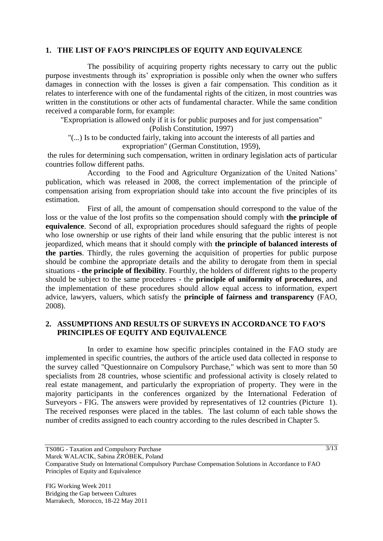#### **1. THE LIST OF FAO'S PRINCIPLES OF EQUITY AND EQUIVALENCE**

The possibility of acquiring property rights necessary to carry out the public purpose investments through its' expropriation is possible only when the owner who suffers damages in connection with the losses is given a fair compensation. This condition as it relates to interference with one of the fundamental rights of the citizen, in most countries was written in the constitutions or other acts of fundamental character. While the same condition received a comparable form, for example:

"Expropriation is allowed only if it is for public purposes and for just compensation" (Polish Constitution, 1997)

"(...) Is to be conducted fairly, taking into account the interests of all parties and expropriation" (German Constitution, 1959),

the rules for determining such compensation, written in ordinary legislation acts of particular countries follow different paths.

According to the Food and Agriculture Organization of the United Nations' publication, which was released in 2008, the correct implementation of the principle of compensation arising from expropriation should take into account the five principles of its estimation.

First of all, the amount of compensation should correspond to the value of the loss or the value of the lost profits so the compensation should comply with **the principle of equivalence**. Second of all, expropriation procedures should safeguard the rights of people who lose ownership or use rights of their land while ensuring that the public interest is not jeopardized, which means that it should comply with **the principle of balanced interests of the parties**. Thirdly, the rules governing the acquisition of properties for public purpose should be combine the appropriate details and the ability to derogate from them in special situations - **the principle of flexibility**. Fourthly, the holders of different rights to the property should be subject to the same procedures - the **principle of uniformity of procedures**, and the implementation of these procedures should allow equal access to information, expert advice, lawyers, valuers, which satisfy the **principle of fairness and transparency** (FAO, 2008).

#### **2. ASSUMPTIONS AND RESULTS OF SURVEYS IN ACCORDANCE TO FAO'S PRINCIPLES OF EQUITY AND EQUIVALENCE**

In order to examine how specific principles contained in the FAO study are implemented in specific countries, the authors of the article used data collected in response to the survey called "Questionnaire on Compulsory Purchase," which was sent to more than 50 specialists from 28 countries, whose scientific and professional activity is closely related to real estate management, and particularly the expropriation of property. They were in the majority participants in the conferences organized by the International Federation of Surveyors - FIG. The answers were provided by representatives of 12 countries [\(Picture 1\)](#page-3-0). The received responses were placed in the tables. The last column of each table shows the number of credits assigned to each country according to the rules described in Chapter 5.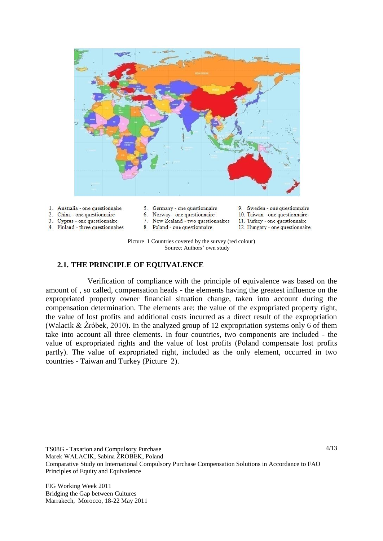

- 1. Australia one questionnaire
- 2. China one questionnaire
- 3. Cyprus one questionnaire
- <span id="page-3-0"></span>4. Finland - three questionnaires
- 5. Germany one questionnaire 6. Norway - one questionnaire

8. Poland - one questionnaire

7. New Zealand - two questionnaires

- 9. Sweden one questionnaire 10. Taiwan - one questionnaire
	- 11. Turkey one questionnaire
	- 12. Hungary one questionnaire
- Picture 1 Countries covered by the survey (red colour) Source: Authors' own study

#### **2.1. THE PRINCIPLE OF EQUIVALENCE**

Verification of compliance with the principle of equivalence was based on the amount of , so called, compensation heads - the elements having the greatest influence on the expropriated property owner financial situation change, taken into account during the compensation determination. The elements are: the value of the expropriated property right, the value of lost profits and additional costs incurred as a direct result of the expropriation (Walacik & Źróbek, 2010). In the analyzed group of 12 expropriation systems only 6 of them take into account all three elements. In four countries, two components are included - the value of expropriated rights and the value of lost profits (Poland compensate lost profits partly). The value of expropriated right, included as the only element, occurred in two countries - Taiwan and Turkey [\(Picture 2\)](#page-4-0).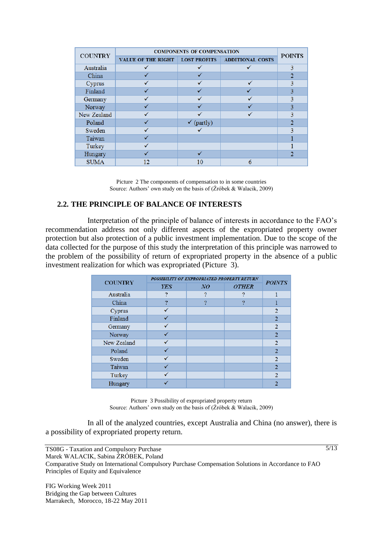| <b>COUNTRY</b> | <b>COMPONENTS OF COMPENSATION</b> | <b>POINTS</b>       |                         |   |  |
|----------------|-----------------------------------|---------------------|-------------------------|---|--|
|                | <b>VALUE OF THE RIGHT</b>         | <b>LOST PROFITS</b> | <b>ADDITIONAL COSTS</b> |   |  |
| Australia      |                                   |                     |                         | 3 |  |
| China          |                                   |                     |                         |   |  |
| Cyprus         |                                   |                     |                         | 3 |  |
| Finland        |                                   |                     |                         | 3 |  |
| Germany        |                                   |                     |                         | 3 |  |
| Norway         |                                   |                     |                         | 3 |  |
| New Zealand    |                                   |                     |                         | 3 |  |
| Poland         |                                   | (partly)<br>✓       |                         |   |  |
| Sweden         |                                   |                     |                         | २ |  |
| Taiwan         |                                   |                     |                         |   |  |
| Turkey         |                                   |                     |                         |   |  |
| Hungary        |                                   |                     |                         |   |  |
| <b>SUMA</b>    | 12                                | 10                  | 6                       |   |  |

Picture 2 The components of compensation to in some countries Source: Authors' own study on the basis of (Źróbek & Walacik, 2009)

#### <span id="page-4-0"></span>**2.2. THE PRINCIPLE OF BALANCE OF INTERESTS**

Interpretation of the principle of balance of interests in accordance to the FAO's recommendation address not only different aspects of the expropriated property owner protection but also protection of a public investment implementation. Due to the scope of the data collected for the purpose of this study the interpretation of this principle was narrowed to the problem of the possibility of return of expropriated property in the absence of a public investment realization for which was expropriated [\(Picture 3\)](#page-4-1).

| <b>COUNTRY</b> | POSSIBILITY OF EXPROPRIATED PROPERTY RETURN | <b>POINTS</b> |              |                |  |
|----------------|---------------------------------------------|---------------|--------------|----------------|--|
|                | <b>YES</b>                                  | NQ            | <b>OTHER</b> |                |  |
| Australia      | 7                                           | っ             | റ            |                |  |
| China          | ?                                           | 9             | റ            |                |  |
| Cyprus         |                                             |               |              | 2              |  |
| Finland        |                                             |               |              | 2              |  |
| Germany        |                                             |               |              | $\overline{2}$ |  |
| Norway         |                                             |               |              | 2              |  |
| New Zealand    |                                             |               |              | 2              |  |
| Poland         |                                             |               |              | 2              |  |
| Sweden         |                                             |               |              | 2              |  |
| Taiwan         |                                             |               |              | $\overline{2}$ |  |
| Turkey         |                                             |               |              | $\mathcal{D}$  |  |
| Hungary        |                                             |               |              |                |  |

Picture 3 Possibility of expropriated property return Source: Authors' own study on the basis of (Źróbek & Walacik, 2009)

<span id="page-4-1"></span>In all of the analyzed countries, except Australia and China (no answer), there is a possibility of expropriated property return.

 $\sqrt{5/13}$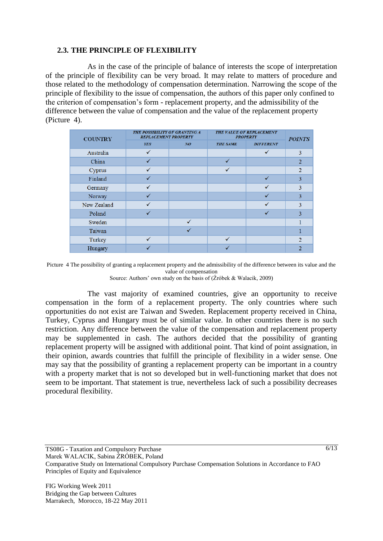#### **2.3. THE PRINCIPLE OF FLEXIBILITY**

As in the case of the principle of balance of interests the scope of interpretation of the principle of flexibility can be very broad. It may relate to matters of procedure and those related to the methodology of compensation determination. Narrowing the scope of the principle of flexibility to the issue of compensation, the authors of this paper only confined to the criterion of compensation's form - replacement property, and the admissibility of the difference between the value of compensation and the value of the replacement property [\(Picture 4\)](#page-5-0).

| <b>COUNTRY</b> | THE POSSIBILITY OF GRANTING A<br><b>REPLACEMENT PROPERTY</b> |              | THE VALUE OF REPLACEMENT<br><b>PROPERTY</b> | <b>POINTS</b>    |   |
|----------------|--------------------------------------------------------------|--------------|---------------------------------------------|------------------|---|
|                | <b>YES</b>                                                   | NQ           | <b>THE SAME</b>                             | <b>DIFFERENT</b> |   |
| Australia      | ✓                                                            |              |                                             | $\checkmark$     | 3 |
| China          | √                                                            |              | $\checkmark$                                |                  | 2 |
| Cyprus         |                                                              |              |                                             |                  | っ |
| Finland        | √                                                            |              |                                             | $\checkmark$     | 3 |
| Germany        |                                                              |              |                                             |                  | 3 |
| Norway         | $\checkmark$                                                 |              |                                             |                  | 3 |
| New Zealand    | √                                                            |              |                                             | √                | 3 |
| Poland         |                                                              |              |                                             |                  | 3 |
| Sweden         |                                                              | $\checkmark$ |                                             |                  |   |
| Taiwan         |                                                              |              |                                             |                  |   |
| Turkey         | $\checkmark$                                                 |              | $\checkmark$                                |                  |   |
| Hungary        |                                                              |              |                                             |                  |   |

<span id="page-5-0"></span>Picture 4 The possibility of granting a replacement property and the admissibility of the difference between its value and the value of compensation Source: Authors' own study on the basis of (Źróbek & Walacik, 2009)

The vast majority of examined countries, give an opportunity to receive compensation in the form of a replacement property. The only countries where such opportunities do not exist are Taiwan and Sweden. Replacement property received in China, Turkey, Cyprus and Hungary must be of similar value. In other countries there is no such restriction. Any difference between the value of the compensation and replacement property may be supplemented in cash. The authors decided that the possibility of granting replacement property will be assigned with additional point. That kind of point assignation, in their opinion, awards countries that fulfill the principle of flexibility in a wider sense. One may say that the possibility of granting a replacement property can be important in a country with a property market that is not so developed but in well-functioning market that does not seem to be important. That statement is true, nevertheless lack of such a possibility decreases procedural flexibility.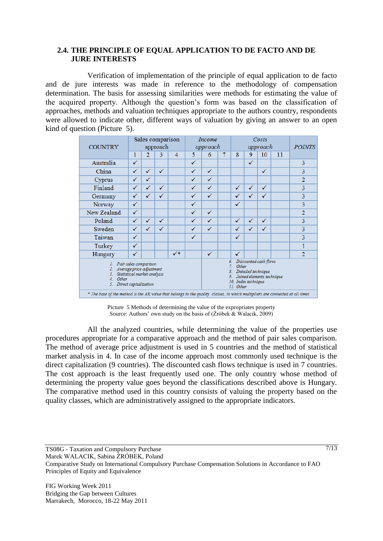#### **2.4. THE PRINCIPLE OF EQUAL APPLICATION TO DE FACTO AND DE JURE INTERESTS**

Verification of implementation of the principle of equal application to de facto and de jure interests was made in reference to the methodology of compensation determination. The basis for assessing similarities were methods for estimating the value of the acquired property. Although the question's form was based on the classification of approaches, methods and valuation techniques appropriate to the authors country, respondents were allowed to indicate other, different ways of valuation by giving an answer to an open kind of question [\(Picture 5\)](#page-6-0).

| Sales comparison<br>approach                                                                                                                                |                |              | <i>Income</i><br>approach |   | Costs<br>approach |   |   | <b>POINTS</b>       |                    |                     |                                                                                                                                                                                                           |
|-------------------------------------------------------------------------------------------------------------------------------------------------------------|----------------|--------------|---------------------------|---|-------------------|---|---|---------------------|--------------------|---------------------|-----------------------------------------------------------------------------------------------------------------------------------------------------------------------------------------------------------|
| 1                                                                                                                                                           | $\overline{2}$ | 3            | $\overline{4}$            | 5 | 6                 | 7 | 8 | 9                   | 10                 | 11                  |                                                                                                                                                                                                           |
| ✓                                                                                                                                                           |                |              |                           | ✓ |                   |   |   | $\checkmark$        |                    |                     | 3                                                                                                                                                                                                         |
| ✓                                                                                                                                                           | ✓              | $\checkmark$ |                           | ✓ | ✓                 |   |   |                     | ✓                  |                     | 3                                                                                                                                                                                                         |
| ✓                                                                                                                                                           | ✓              |              |                           | ✓ | ✓                 |   |   |                     |                    |                     | $\overline{2}$                                                                                                                                                                                            |
| ✓                                                                                                                                                           | ✓              | ✓            |                           | ✓ | ✓                 |   | ✓ | ✓                   | $\checkmark$       |                     | 3                                                                                                                                                                                                         |
| ✓                                                                                                                                                           | ✓              | $\checkmark$ |                           | ✓ | √                 |   | ✓ | ✓                   | ✓                  |                     | 3                                                                                                                                                                                                         |
| ✓                                                                                                                                                           |                |              |                           | ✓ |                   |   | √ |                     |                    |                     | 3                                                                                                                                                                                                         |
| ✓                                                                                                                                                           |                |              |                           | ✓ | ✓                 |   |   |                     |                    |                     | $\overline{2}$                                                                                                                                                                                            |
| ✓                                                                                                                                                           | √              | √            |                           | √ | ✓                 |   | ✓ | ✓                   | $\checkmark$       |                     | 3                                                                                                                                                                                                         |
| ✓                                                                                                                                                           | ✓              | √            |                           | ✓ | ✓                 |   | ✓ | ✓                   | $\checkmark$       |                     | 3                                                                                                                                                                                                         |
| ✓                                                                                                                                                           |                |              |                           | ✓ |                   |   | ✓ |                     |                    |                     | 3                                                                                                                                                                                                         |
| √                                                                                                                                                           |                |              |                           |   |                   |   |   |                     |                    |                     | 1                                                                                                                                                                                                         |
| $\checkmark$                                                                                                                                                |                |              | $\checkmark^*$            |   | ✓                 |   | ✓ |                     |                    |                     | $\overline{2}$                                                                                                                                                                                            |
| Pair sales comparison<br>L<br>Average price adjustment<br>2.<br>Statistical market analysis<br>3.<br>$\overline{4}$<br>Other<br>5.<br>Direct capitalization |                |              |                           |   |                   |   |   |                     |                    |                     |                                                                                                                                                                                                           |
|                                                                                                                                                             |                |              |                           |   |                   |   |   | б.<br>7<br>8.<br>9. | Other<br>11. Other | 10. Index technique | Discounted cash flows<br>Detailed technique<br>Joined elements technique<br>* The base of the method is the AK value that belongs to the quality classes, to which multipliers are connected at all times |

Picture 5 Methods of determining the value of the expropriates property Source: Authors' own study on the basis of  $(Zróbek \& Walack, 2009)$ 

<span id="page-6-0"></span>All the analyzed countries, while determining the value of the properties use procedures appropriate for a comparative approach and the method of pair sales comparison. The method of average price adjustment is used in 5 countries and the method of statistical market analysis in 4. In case of the income approach most commonly used technique is the direct capitalization (9 countries). The discounted cash flows technique is used in 7 countries. The cost approach is the least frequently used one. The only country whose method of determining the property value goes beyond the classifications described above is Hungary. The comparative method used in this country consists of valuing the property based on the quality classes, which are administratively assigned to the appropriate indicators.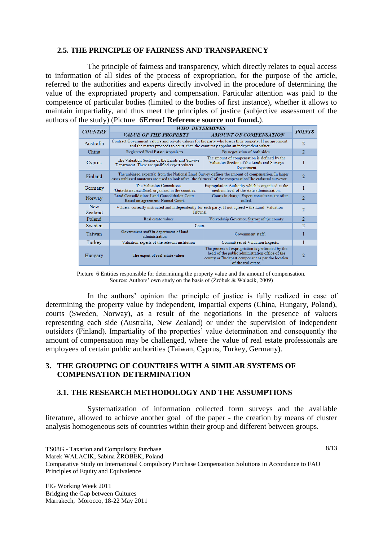#### **2.5. THE PRINCIPLE OF FAIRNESS AND TRANSPARENCY**

The principle of fairness and transparency, which directly relates to equal access to information of all sides of the process of expropriation, for the purpose of the article, referred to the authorities and experts directly involved in the procedure of determining the value of the expropriated property and compensation. Particular attention was paid to the competence of particular bodies (limited to the bodies of first instance), whether it allows to maintain impartiality, and thus meet the principles of justice (subjective assessment of the authors of the study) [\(Picture 6](#page-7-0)**[Error! Reference source not found.](#page-7-0)**).

|                       | <b>WHO DETERMINES</b>                                                                                                                                                                                           |                                                                                                                                                                                |                |  |  |  |
|-----------------------|-----------------------------------------------------------------------------------------------------------------------------------------------------------------------------------------------------------------|--------------------------------------------------------------------------------------------------------------------------------------------------------------------------------|----------------|--|--|--|
| <b>COUNTRY</b>        |                                                                                                                                                                                                                 |                                                                                                                                                                                |                |  |  |  |
|                       | VALUE OF THE PROPERTY                                                                                                                                                                                           | <b>AMOUNT OF COMPENSATION</b>                                                                                                                                                  |                |  |  |  |
| Australia             | Contract Government valuers and private valuers for the party who losses their property. If no agreement<br>and the matter proceeds to court, then the court may appoint an independent valuer                  |                                                                                                                                                                                |                |  |  |  |
| China                 | Registered Real Estate Appraisers                                                                                                                                                                               | By negotiation of both sides.                                                                                                                                                  | $\overline{2}$ |  |  |  |
| Cyprus                | The Valuation Section of the Lands and Surveys<br>Department. There are qualified expert valuers.                                                                                                               | The amount of compensation is defined by the<br>Valuation Section of the Lands and Surveys<br>Department                                                                       | 1              |  |  |  |
| Finland               | The unbiased expert(s) from the National Land Survey defines the amount of compensation. In larger<br>cases unbiased amateurs are used to look after "the fairness" of the compensation/The cadastral surveyor. |                                                                                                                                                                                |                |  |  |  |
| Germany               | The Valuation Committees<br>(Gutachterausschüsse), organized in the counties.                                                                                                                                   | Expropriation Authority which is organized at the<br>medium level of the state administration.                                                                                 | 1              |  |  |  |
| Norway                | Land Consolidation: Land Consolidation Court.<br>Based on agreement: Normal Court.                                                                                                                              | Courts in charge. Expert consultants are often<br>called.                                                                                                                      | $\overline{2}$ |  |  |  |
| <b>New</b><br>Zealand | Valuers, correctly instructed and independently for each party. If not agreed - the Land Valuation<br>Tribunal                                                                                                  |                                                                                                                                                                                |                |  |  |  |
| Poland                | Real estate valuer                                                                                                                                                                                              | Voivodship Governor, Starost of the county                                                                                                                                     | $\overline{2}$ |  |  |  |
| Sweden                | <b>Court</b>                                                                                                                                                                                                    |                                                                                                                                                                                |                |  |  |  |
| Taiwan                | Government staff in department of land<br>administration                                                                                                                                                        | Government staff.                                                                                                                                                              |                |  |  |  |
| Turkey                | Valuation experts of the relevant institution                                                                                                                                                                   | Committees of Valuation Experts.                                                                                                                                               |                |  |  |  |
| Hungary               | The expert of real estate valuer                                                                                                                                                                                | The process of expropriation is performed by the<br>head of the public administration office of the<br>county or Budapest component as per the location<br>of the real estate. | 2              |  |  |  |

Picture 6 Entities responsible for determining the property value and the amount of compensation. Source: Authors' own study on the basis of (Źróbek & Walacik, 2009)

<span id="page-7-0"></span>In the authors' opinion the principle of justice is fully realized in case of determining the property value by independent, impartial experts (China, Hungary, Poland), courts (Sweden, Norway), as a result of the negotiations in the presence of valuers representing each side (Australia, New Zealand) or under the supervision of independent outsiders (Finland). Impartiality of the properties' value determination and consequently the amount of compensation may be challenged, where the value of real estate professionals are employees of certain public authorities (Taiwan, Cyprus, Turkey, Germany).

#### **3. THE GROUPING OF COUNTRIES WITH A SIMILAR SYSTEMS OF COMPENSATION DETERMINATION**

#### **3.1. THE RESEARCH METHODOLOGY AND THE ASSUMPTIONS**

Systematization of information collected form surveys and the available literature, allowed to achieve another goal of the paper - the creation by means of cluster analysis homogeneous sets of countries within their group and different between groups.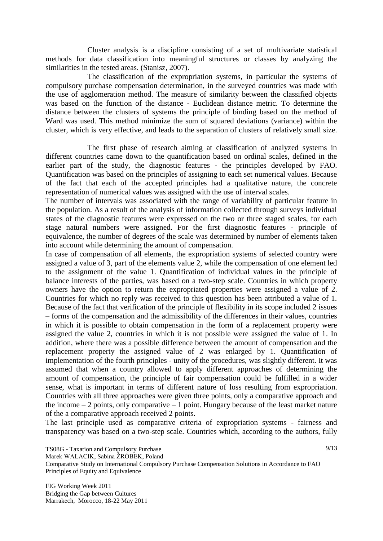Cluster analysis is a discipline consisting of a set of multivariate statistical methods for data classification into meaningful structures or classes by analyzing the similarities in the tested areas. (Stanisz, 2007).

The classification of the expropriation systems, in particular the systems of compulsory purchase compensation determination, in the surveyed countries was made with the use of agglomeration method. The measure of similarity between the classified objects was based on the function of the distance - Euclidean distance metric. To determine the distance between the clusters of systems the principle of binding based on the method of Ward was used. This method minimize the sum of squared deviations (variance) within the cluster, which is very effective, and leads to the separation of clusters of relatively small size.

The first phase of research aiming at classification of analyzed systems in different countries came down to the quantification based on ordinal scales, defined in the earlier part of the study, the diagnostic features - the principles developed by FAO. Quantification was based on the principles of assigning to each set numerical values. Because of the fact that each of the accepted principles had a qualitative nature, the concrete representation of numerical values was assigned with the use of interval scales.

The number of intervals was associated with the range of variability of particular feature in the population. As a result of the analysis of information collected through surveys individual states of the diagnostic features were expressed on the two or three staged scales, for each stage natural numbers were assigned. For the first diagnostic features - principle of equivalence, the number of degrees of the scale was determined by number of elements taken into account while determining the amount of compensation.

In case of compensation of all elements, the expropriation systems of selected country were assigned a value of 3, part of the elements value 2, while the compensation of one element led to the assignment of the value 1. Quantification of individual values in the principle of balance interests of the parties, was based on a two-step scale. Countries in which property owners have the option to return the expropriated properties were assigned a value of 2. Countries for which no reply was received to this question has been attributed a value of 1. Because of the fact that verification of the principle of flexibility in its scope included 2 issues – forms of the compensation and the admissibility of the differences in their values, countries in which it is possible to obtain compensation in the form of a replacement property were assigned the value 2, countries in which it is not possible were assigned the value of 1. In addition, where there was a possible difference between the amount of compensation and the replacement property the assigned value of 2 was enlarged by 1. Quantification of implementation of the fourth principles - unity of the procedures, was slightly different. It was assumed that when a country allowed to apply different approaches of determining the amount of compensation, the principle of fair compensation could be fulfilled in a wider sense, what is important in terms of different nature of loss resulting from expropriation. Countries with all three approaches were given three points, only a comparative approach and the income  $-2$  points, only comparative  $-1$  point. Hungary because of the least market nature of the a comparative approach received 2 points.

The last principle used as comparative criteria of expropriation systems - fairness and transparency was based on a two-step scale. Countries which, according to the authors, fully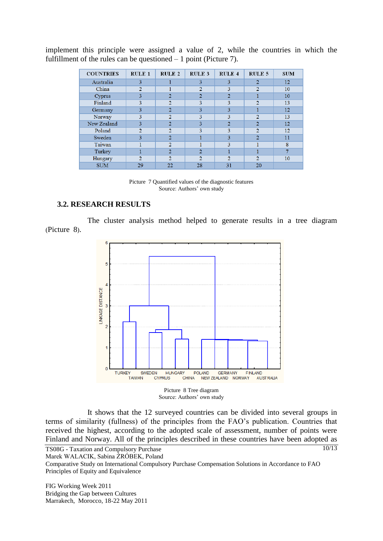implement this principle were assigned a value of 2, while the countries in which the fulfillment of the rules can be questioned – 1 point (Picture 7).

| <b>COUNTRIES</b> | <b>RULE 1</b>  | <b>RULE 2</b> | <b>RULE 3</b>  | <b>RULE 4</b>  | <b>RULE 5</b>  | <b>SUM</b> |
|------------------|----------------|---------------|----------------|----------------|----------------|------------|
| Australia        | 3              |               | 3              | 3              | $\overline{2}$ | 12         |
| China            | $\overline{2}$ |               | 2              | 3              | $\overline{2}$ | 10         |
| Cyprus           | 3              | 2             | 2              | $\overline{2}$ |                | 10         |
| Finland          | 3              | 2             | 3              | 3              | 2              | 13         |
| Germany          | 3              | 2             | 3              | 3              |                | 12         |
| Norway           | 3              | 2             | 3              | 3              | $\overline{2}$ | 13         |
| New Zealand      | 3              | っ             | 3              | $\overline{2}$ | $\overline{2}$ | 12         |
| Poland           | 2              | 2             | 3              | 3              | 2              | 12         |
| Sweden           | 3              | 2             |                | 3              | 2              | 11         |
| Taiwan           |                | ゥ             |                | 3              |                | 8          |
| Turkey           |                | 2             | $\overline{2}$ |                |                |            |
| Hungary          | 2              | 2             | 2              | 2              | $\overline{2}$ | 10         |
| <b>SUM</b>       | 29             | 22            | 28             | 31             | 20             |            |

Picture 7 Quantified values of the diagnostic features Source: Authors' own study

#### **3.2. RESEARCH RESULTS**

The cluster analysis method helped to generate results in a tree diagram ([Picture 8](#page-9-0)).





<span id="page-9-0"></span>It shows that the 12 surveyed countries can be divided into several groups in terms of similarity (fullness) of the principles from the FAO's publication. Countries that received the highest, according to the adopted scale of assessment, number of points were Finland and Norway. All of the principles described in these countries have been adopted as

TS08G - Taxation and Compulsory Purchase Marek WALACIK, Sabina ŹRÓBEK, Poland Comparative Study on International Compulsory Purchase Compensation Solutions in Accordance to FAO Principles of Equity and Equivalence 10/13

FIG Working Week 2011 Bridging the Gap between Cultures Marrakech, Morocco, 18-22 May 2011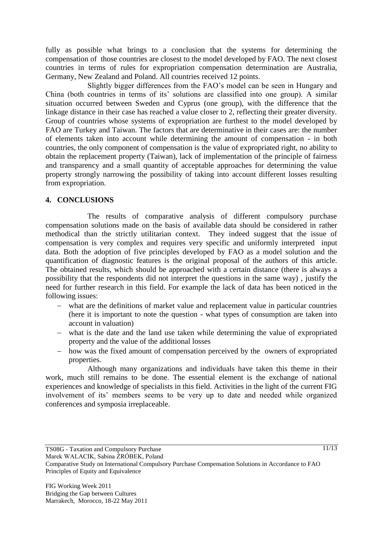fully as possible what brings to a conclusion that the systems for determining the compensation of those countries are closest to the model developed by FAO. The next closest countries in terms of rules for expropriation compensation determination are Australia, Germany, New Zealand and Poland. All countries received 12 points.

Slightly bigger differences from the FAO's model can be seen in Hungary and China (both countries in terms of its' solutions are classified into one group). A similar situation occurred between Sweden and Cyprus (one group), with the difference that the linkage distance in their case has reached a value closer to 2, reflecting their greater diversity. Group of countries whose systems of expropriation are furthest to the model developed by FAO are Turkey and Taiwan. The factors that are determinative in their cases are: the number of elements taken into account while determining the amount of compensation - in both countries, the only component of compensation is the value of expropriated right, no ability to obtain the replacement property (Taiwan), lack of implementation of the principle of fairness and transparency and a small quantity of acceptable approaches for determining the value property strongly narrowing the possibility of taking into account different losses resulting from expropriation.

#### **4. CONCLUSIONS**

The results of comparative analysis of different compulsory purchase compensation solutions made on the basis of available data should be considered in rather methodical than the strictly utilitarian context. They indeed suggest that the issue of compensation is very complex and requires very specific and uniformly interpreted input data. Both the adoption of five principles developed by FAO as a model solution and the quantification of diagnostic features is the original proposal of the authors of this article. The obtained results, which should be approached with a certain distance (there is always a possibility that the respondents did not interpret the questions in the same way) , justify the need for further research in this field. For example the lack of data has been noticed in the following issues:

- what are the definitions of market value and replacement value in particular countries (here it is important to note the question - what types of consumption are taken into account in valuation)
- what is the date and the land use taken while determining the value of expropriated property and the value of the additional losses
- how was the fixed amount of compensation perceived by the owners of expropriated properties.

Although many organizations and individuals have taken this theme in their work, much still remains to be done. The essential element is the exchange of national experiences and knowledge of specialists in this field. Activities in the light of the current FIG involvement of its' members seems to be very up to date and needed while organized conferences and symposia irreplaceable.

Marek WALACIK, Sabina ŹRÓBEK, Poland

TS08G - Taxation and Compulsory Purchase

Comparative Study on International Compulsory Purchase Compensation Solutions in Accordance to FAO Principles of Equity and Equivalence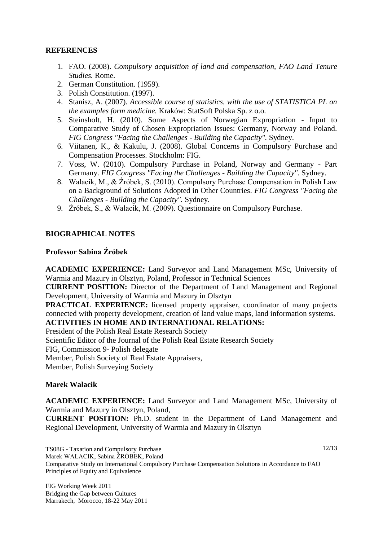## **REFERENCES**

- 1. FAO. (2008). *Compulsory acquisition of land and compensation, FAO Land Tenure Studies.* Rome.
- 2. German Constitution. (1959).
- 3. Polish Constitution. (1997).
- 4. Stanisz, A. (2007). *Accessible course of statistics, with the use of STATISTICA PL on the examples form medicine.* Kraków: StatSoft Polska Sp. z o.o.
- 5. Steinsholt, H. (2010). Some Aspects of Norwegian Expropriation Input to Comparative Study of Chosen Expropriation Issues: Germany, Norway and Poland. *FIG Congress "Facing the Challenges - Building the Capacity".* Sydney.
- 6. Viitanen, K., & Kakulu, J. (2008). Global Concerns in Compulsory Purchase and Compensation Processes. Stockholm: FIG.
- 7. Voss, W. (2010). Compulsory Purchase in Poland, Norway and Germany Part Germany. *FIG Congress "Facing the Challenges - Building the Capacity".* Sydney.
- 8. Walacik, M., & Źróbek, S. (2010). Compulsory Purchase Compensation in Polish Law on a Background of Solutions Adopted in Other Countries. *FIG Congress "Facing the Challenges - Building the Capacity".* Sydney.
- 9. Źróbek, S., & Walacik, M. (2009). Questionnaire on Compulsory Purchase.

## **BIOGRAPHICAL NOTES**

#### **Professor Sabina Źróbek**

**ACADEMIC EXPERIENCE:** Land Surveyor and Land Management MSc, University of Warmia and Mazury in Olsztyn, Poland, Professor in Technical Sciences

**CURRENT POSITION:** Director of the Department of Land Management and Regional Development, University of Warmia and Mazury in Olsztyn

**PRACTICAL EXPERIENCE:** licensed property appraiser, coordinator of many projects connected with property development, creation of land value maps, land information systems. **ACTIVITIES IN HOME AND INTERNATIONAL RELATIONS:**

President of the Polish Real Estate Research Society

Scientific Editor of the Journal of the Polish Real Estate Research Society

FIG, Commission 9- Polish delegate

Member, Polish Society of Real Estate Appraisers,

Member, Polish Surveying Society

#### **Marek Walacik**

**ACADEMIC EXPERIENCE:** Land Surveyor and Land Management MSc, University of Warmia and Mazury in Olsztyn, Poland,

**CURRENT POSITION:** Ph.D. student in the Department of Land Management and Regional Development, University of Warmia and Mazury in Olsztyn